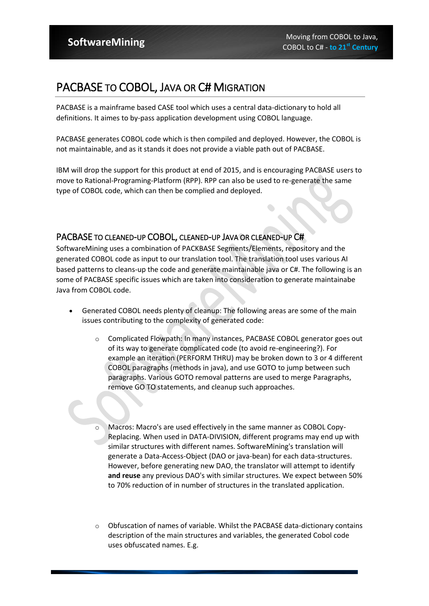## PACBASE TO COBOL, JAVA OR C# MIGRATION

PACBASE is a mainframe based CASE tool which uses a central data-dictionary to hold all definitions. It aimes to by-pass application development using COBOL language.

PACBASE generates COBOL code which is then compiled and deployed. However, the COBOL is not maintainable, and as it stands it does not provide a viable path out of PACBASE.

IBM will drop the support for this product at end of 2015, and is encouraging PACBASE users to move to Rational-Programing-Platform (RPP). RPP can also be used to re-generate the same type of COBOL code, which can then be complied and deployed.

## PACBASE TO CLEANED-UP COBOL, CLEANED-UP JAVA OR CLEANED-UP C#

SoftwareMining uses a combination of PACKBASE Segments/Elements, repository and the generated COBOL code as input to our translation tool. The translation tool uses various AI based patterns to cleans-up the code and generate maintainable java or C#. The following is an some of PACBASE specific issues which are taken into consideration to generate maintainabe Java from COBOL code.

- Generated COBOL needs plenty of cleanup: The following areas are some of the main issues contributing to the complexity of generated code:
	- o Complicated Flowpath: In many instances, PACBASE COBOL generator goes out of its way to generate complicated code (to avoid re-engineering?). For example an iteration (PERFORM THRU) may be broken down to 3 or 4 different COBOL paragraphs (methods in java), and use GOTO to jump between such paragraphs. Various GOTO removal patterns are used to merge Paragraphs, remove GO TO statements, and cleanup such approaches.
	- Macros: Macro's are used effectively in the same manner as COBOL Copy-Replacing. When used in DATA-DIVISION, different programs may end up with similar structures with different names. SoftwareMining's translation will generate a Data-Access-Object (DAO or java-bean) for each data-structures. However, before generating new DAO, the translator will attempt to identify **and reuse** any previous DAO's with similar structures. We expect between 50% to 70% reduction of in number of structures in the translated application.
	- o Obfuscation of names of variable. Whilst the PACBASE data-dictionary contains description of the main structures and variables, the generated Cobol code uses obfuscated names. E.g.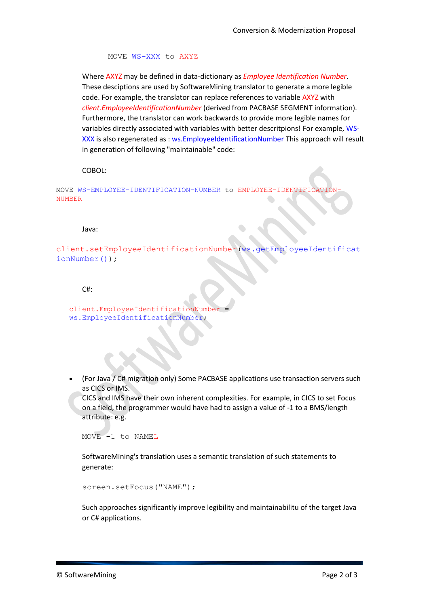MOVE WS-XXX to AXYZ

Where AXYZ may be defined in data-dictionary as *Employee Identification Number*. These desciptions are used by SoftwareMining translator to generate a more legible code. For example, the translator can replace references to variable AXYZ with *client.EmployeeIdentificationNumber* (derived from PACBASE SEGMENT information). Furthermore, the translator can work backwards to provide more legible names for variables directly associated with variables with better descritpions! For example, WS-XXX is also regenerated as : ws.EmployeeIdentificationNumber This approach will result in generation of following "maintainable" code:

COBOL:

MOVE WS-EMPLOYEE-IDENTIFICATION-NUMBER to EMPLOYEE-IDENTIFICATION-NUMBER

Java:

client.setEmployeeIdentificationNumber(ws.getEmployeeIdentificat ionNumber());

 $C#$ :

client.EmployeeIdentificationNumber = ws.EmployeeIdentificationNumber;

 (For Java / C# migration only) Some PACBASE applications use transaction servers such as CICS or IMS.

CICS and IMS have their own inherent complexities. For example, in CICS to set Focus on a field, the programmer would have had to assign a value of -1 to a BMS/length attribute: e.g.

MOVE -1 to NAMEL

SoftwareMining's translation uses a semantic translation of such statements to generate:

```
screen.setFocus("NAME");
```
Such approaches significantly improve legibility and maintainabilitu of the target Java or C# applications.